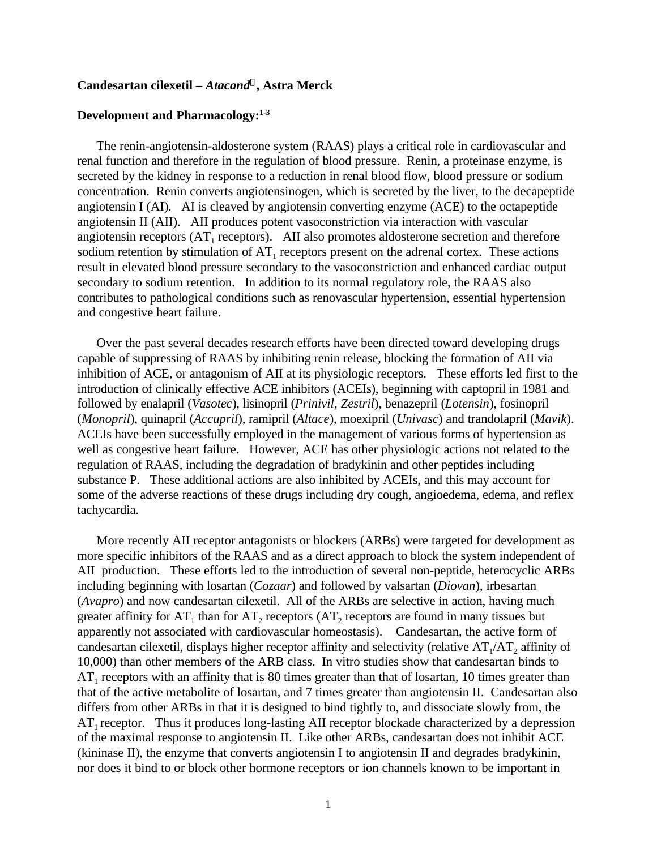## **Candesartan cilexetil –** *Atacand<sup>Ò</sup>* **, Astra Merck**

## **Development and Pharmacology:1-3**

The renin-angiotensin-aldosterone system (RAAS) plays a critical role in cardiovascular and renal function and therefore in the regulation of blood pressure. Renin, a proteinase enzyme, is secreted by the kidney in response to a reduction in renal blood flow, blood pressure or sodium concentration. Renin converts angiotensinogen, which is secreted by the liver, to the decapeptide angiotensin I (AI). AI is cleaved by angiotensin converting enzyme (ACE) to the octapeptide angiotensin II (AII). AII produces potent vasoconstriction via interaction with vascular angiotensin receptors  $(AT<sub>1</sub>$  receptors). AII also promotes aldosterone secretion and therefore sodium retention by stimulation of  $AT_1$  receptors present on the adrenal cortex. These actions result in elevated blood pressure secondary to the vasoconstriction and enhanced cardiac output secondary to sodium retention. In addition to its normal regulatory role, the RAAS also contributes to pathological conditions such as renovascular hypertension, essential hypertension and congestive heart failure.

Over the past several decades research efforts have been directed toward developing drugs capable of suppressing of RAAS by inhibiting renin release, blocking the formation of AII via inhibition of ACE, or antagonism of AII at its physiologic receptors. These efforts led first to the introduction of clinically effective ACE inhibitors (ACEIs), beginning with captopril in 1981 and followed by enalapril (*Vasotec*), lisinopril (*Prinivil*, *Zestril*), benazepril (*Lotensin*), fosinopril (*Monopril*), quinapril (*Accupril*), ramipril (*Altace*), moexipril (*Univasc*) and trandolapril (*Mavik*). ACEIs have been successfully employed in the management of various forms of hypertension as well as congestive heart failure. However, ACE has other physiologic actions not related to the regulation of RAAS, including the degradation of bradykinin and other peptides including substance P. These additional actions are also inhibited by ACEIs, and this may account for some of the adverse reactions of these drugs including dry cough, angioedema, edema, and reflex tachycardia.

More recently AII receptor antagonists or blockers (ARBs) were targeted for development as more specific inhibitors of the RAAS and as a direct approach to block the system independent of AII production. These efforts led to the introduction of several non-peptide, heterocyclic ARBs including beginning with losartan (*Cozaar*) and followed by valsartan (*Diovan*), irbesartan (*Avapro*) and now candesartan cilexetil. All of the ARBs are selective in action, having much greater affinity for  $AT_1$  than for  $AT_2$  receptors ( $AT_2$  receptors are found in many tissues but apparently not associated with cardiovascular homeostasis). Candesartan, the active form of candesartan cilexetil, displays higher receptor affinity and selectivity (relative  $AT_1/AT_2$  affinity of 10,000) than other members of the ARB class. In vitro studies show that candesartan binds to  $AT<sub>1</sub>$  receptors with an affinity that is 80 times greater than that of losartan, 10 times greater than that of the active metabolite of losartan, and 7 times greater than angiotensin II. Candesartan also differs from other ARBs in that it is designed to bind tightly to, and dissociate slowly from, the  $AT_1$  receptor. Thus it produces long-lasting AII receptor blockade characterized by a depression of the maximal response to angiotensin II. Like other ARBs, candesartan does not inhibit ACE (kininase II), the enzyme that converts angiotensin I to angiotensin II and degrades bradykinin, nor does it bind to or block other hormone receptors or ion channels known to be important in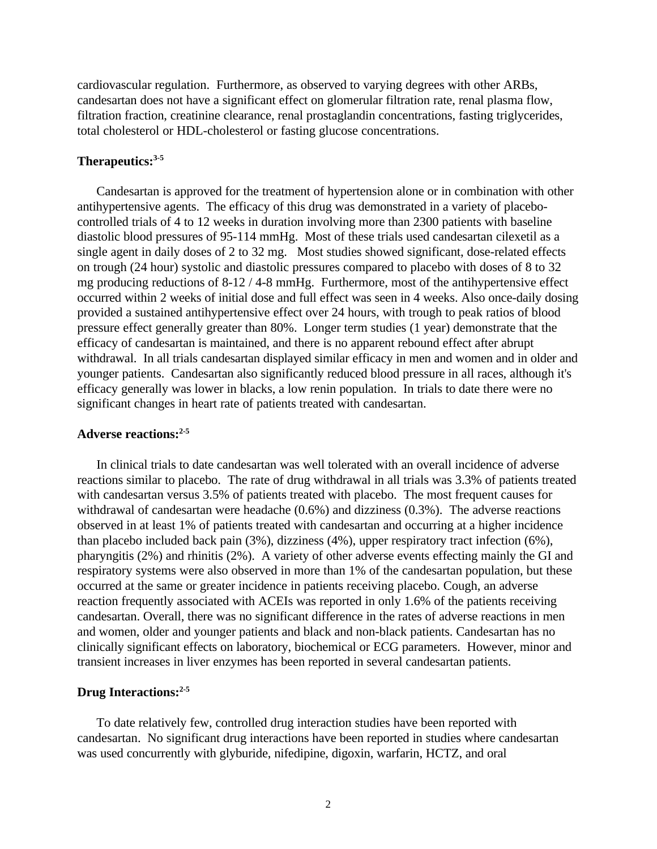cardiovascular regulation. Furthermore, as observed to varying degrees with other ARBs, candesartan does not have a significant effect on glomerular filtration rate, renal plasma flow, filtration fraction, creatinine clearance, renal prostaglandin concentrations, fasting triglycerides, total cholesterol or HDL-cholesterol or fasting glucose concentrations.

#### **Therapeutics:3-5**

Candesartan is approved for the treatment of hypertension alone or in combination with other antihypertensive agents. The efficacy of this drug was demonstrated in a variety of placebocontrolled trials of 4 to 12 weeks in duration involving more than 2300 patients with baseline diastolic blood pressures of 95-114 mmHg. Most of these trials used candesartan cilexetil as a single agent in daily doses of 2 to 32 mg. Most studies showed significant, dose-related effects on trough (24 hour) systolic and diastolic pressures compared to placebo with doses of 8 to 32 mg producing reductions of 8-12 / 4-8 mmHg. Furthermore, most of the antihypertensive effect occurred within 2 weeks of initial dose and full effect was seen in 4 weeks. Also once-daily dosing provided a sustained antihypertensive effect over 24 hours, with trough to peak ratios of blood pressure effect generally greater than 80%. Longer term studies (1 year) demonstrate that the efficacy of candesartan is maintained, and there is no apparent rebound effect after abrupt withdrawal. In all trials candesartan displayed similar efficacy in men and women and in older and younger patients. Candesartan also significantly reduced blood pressure in all races, although it's efficacy generally was lower in blacks, a low renin population. In trials to date there were no significant changes in heart rate of patients treated with candesartan.

#### **Adverse reactions:2-5**

In clinical trials to date candesartan was well tolerated with an overall incidence of adverse reactions similar to placebo. The rate of drug withdrawal in all trials was 3.3% of patients treated with candesartan versus 3.5% of patients treated with placebo. The most frequent causes for withdrawal of candesartan were headache (0.6%) and dizziness (0.3%). The adverse reactions observed in at least 1% of patients treated with candesartan and occurring at a higher incidence than placebo included back pain (3%), dizziness (4%), upper respiratory tract infection (6%), pharyngitis (2%) and rhinitis (2%). A variety of other adverse events effecting mainly the GI and respiratory systems were also observed in more than 1% of the candesartan population, but these occurred at the same or greater incidence in patients receiving placebo. Cough, an adverse reaction frequently associated with ACEIs was reported in only 1.6% of the patients receiving candesartan. Overall, there was no significant difference in the rates of adverse reactions in men and women, older and younger patients and black and non-black patients. Candesartan has no clinically significant effects on laboratory, biochemical or ECG parameters. However, minor and transient increases in liver enzymes has been reported in several candesartan patients.

## **Drug Interactions:2-5**

To date relatively few, controlled drug interaction studies have been reported with candesartan.No significant drug interactions have been reported in studies where candesartan was used concurrently with glyburide, nifedipine, digoxin, warfarin, HCTZ, and oral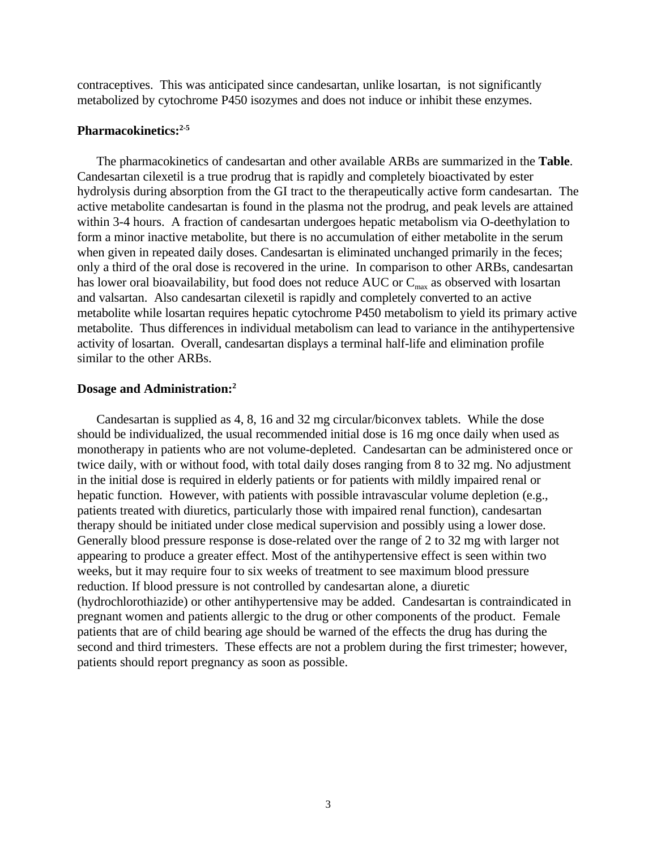contraceptives. This was anticipated since candesartan, unlike losartan, is not significantly metabolized by cytochrome P450 isozymes and does not induce or inhibit these enzymes.

#### **Pharmacokinetics:2-5**

The pharmacokinetics of candesartan and other available ARBs are summarized in the **Table**. Candesartan cilexetil is a true prodrug that is rapidly and completely bioactivated by ester hydrolysis during absorption from the GI tract to the therapeutically active form candesartan. The active metabolite candesartan is found in the plasma not the prodrug, and peak levels are attained within 3-4 hours. A fraction of candesartan undergoes hepatic metabolism via O-deethylation to form a minor inactive metabolite, but there is no accumulation of either metabolite in the serum when given in repeated daily doses. Candesartan is eliminated unchanged primarily in the feces; only a third of the oral dose is recovered in the urine. In comparison to other ARBs, candesartan has lower oral bioavailability, but food does not reduce AUC or  $C_{\text{max}}$  as observed with losartan and valsartan. Also candesartan cilexetil is rapidly and completely converted to an active metabolite while losartan requires hepatic cytochrome P450 metabolism to yield its primary active metabolite. Thus differences in individual metabolism can lead to variance in the antihypertensive activity of losartan. Overall, candesartan displays a terminal half-life and elimination profile similar to the other ARBs.

#### **Dosage and Administration:<sup>2</sup>**

Candesartan is supplied as 4, 8, 16 and 32 mg circular/biconvex tablets. While the dose should be individualized, the usual recommended initial dose is 16 mg once daily when used as monotherapy in patients who are not volume-depleted. Candesartan can be administered once or twice daily, with or without food, with total daily doses ranging from 8 to 32 mg. No adjustment in the initial dose is required in elderly patients or for patients with mildly impaired renal or hepatic function. However, with patients with possible intravascular volume depletion (e.g., patients treated with diuretics, particularly those with impaired renal function), candesartan therapy should be initiated under close medical supervision and possibly using a lower dose. Generally blood pressure response is dose-related over the range of 2 to 32 mg with larger not appearing to produce a greater effect. Most of the antihypertensive effect is seen within two weeks, but it may require four to six weeks of treatment to see maximum blood pressure reduction. If blood pressure is not controlled by candesartan alone, a diuretic (hydrochlorothiazide) or other antihypertensive may be added. Candesartan is contraindicated in pregnant women and patients allergic to the drug or other components of the product. Female patients that are of child bearing age should be warned of the effects the drug has during the second and third trimesters. These effects are not a problem during the first trimester; however, patients should report pregnancy as soon as possible.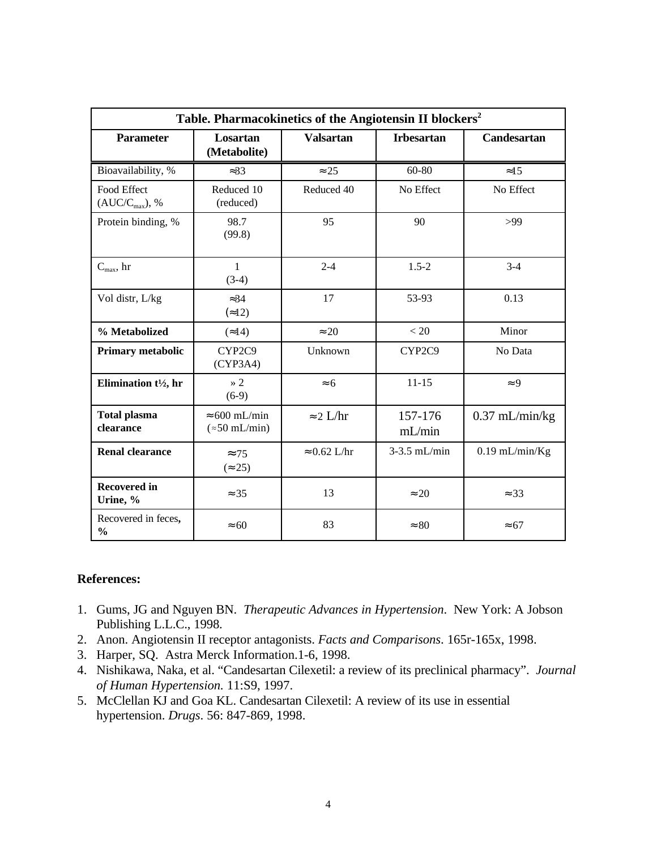| Table. Pharmacokinetics of the Angiotensin II blockers <sup>2</sup> |                                               |                     |                   |                    |
|---------------------------------------------------------------------|-----------------------------------------------|---------------------|-------------------|--------------------|
| <b>Parameter</b>                                                    | Losartan<br>(Metabolite)                      | <b>Valsartan</b>    | <b>Irbesartan</b> | <b>Candesartan</b> |
| Bioavailability, %                                                  | $\approx 33$                                  | $\approx 25$        | 60-80             | $\approx 15$       |
| Food Effect<br>$(AUC/C_{max}),$ %                                   | Reduced 10<br>(reduced)                       | Reduced 40          | No Effect         | No Effect          |
| Protein binding, %                                                  | 98.7<br>(99.8)                                | 95                  | 90                | >99                |
| $C_{\text{max}}$ , hr                                               | $\mathbf{1}$<br>$(3-4)$                       | $2 - 4$             | $1.5 - 2$         | $3 - 4$            |
| Vol distr, L/kg                                                     | $\approx 34$<br>$\approx 12$                  | 17                  | 53-93             | 0.13               |
| % Metabolized                                                       | $\approx$ 14)                                 | $\approx 20$        | < 20              | Minor              |
| <b>Primary metabolic</b>                                            | CYP2C9<br>(CYP3A4)                            | Unknown             | CYP2C9            | No Data            |
| Elimination t <sup>1</sup> / <sub>2</sub> , hr                      | $\rightarrow$ 2<br>$(6-9)$                    | $\approx 6$         | $11 - 15$         | $\approx 9$        |
| <b>Total plasma</b><br>clearance                                    | $\approx 600$ mL/min<br>$(\approx 50$ mL/min) | $\approx$ 2 L/hr    | 157-176<br>mL/min | $0.37$ mL/min/kg   |
| <b>Renal clearance</b>                                              | $\approx$ 75<br>$(\approx 25)$                | $\approx 0.62$ L/hr | $3-3.5$ mL/min    | $0.19$ mL/min/Kg   |
| <b>Recovered in</b><br>Urine, %                                     | $\approx$ 35                                  | 13                  | $\approx 20$      | $\approx$ 33       |
| Recovered in feces,<br>$\frac{0}{0}$                                | $\approx 60$                                  | 83                  | $\approx 80$      | $\approx 67$       |

## **References:**

- 1. Gums, JG and Nguyen BN. *Therapeutic Advances in Hypertension*. New York: A Jobson Publishing L.L.C., 1998.
- 2. Anon. Angiotensin II receptor antagonists. *Facts and Comparisons*. 165r-165x, 1998.
- 3. Harper, SQ. Astra Merck Information.1-6, 1998.
- 4. Nishikawa, Naka, et al. "Candesartan Cilexetil: a review of its preclinical pharmacy". *Journal of Human Hypertension.* 11:S9, 1997.
- 5. McClellan KJ and Goa KL. Candesartan Cilexetil: A review of its use in essential hypertension. *Drugs*. 56: 847-869, 1998.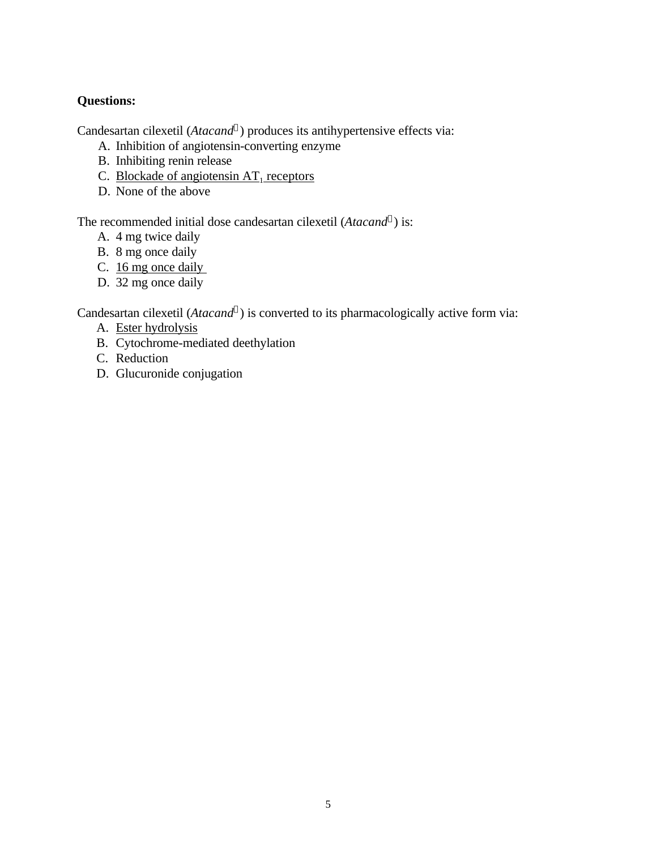## **Questions:**

Candesartan cilexetil (*Atacand<sup>Ò</sup>* ) produces its antihypertensive effects via:

- A. Inhibition of angiotensin-converting enzyme
- B. Inhibiting renin release
- C. Blockade of angiotensin  $AT<sub>1</sub>$  receptors
- D. None of the above

The recommended initial dose candesartan cilexetil (*Atacand<sup>Ò</sup>* ) is:

- A. 4 mg twice daily
- B. 8 mg once daily
- C. 16 mg once daily
- D. 32 mg once daily

Candesartan cilexetil (*Atacand<sup>Ò</sup>* ) is converted to its pharmacologically active form via:

- A. Ester hydrolysis
- B. Cytochrome-mediated deethylation
- C. Reduction
- D. Glucuronide conjugation